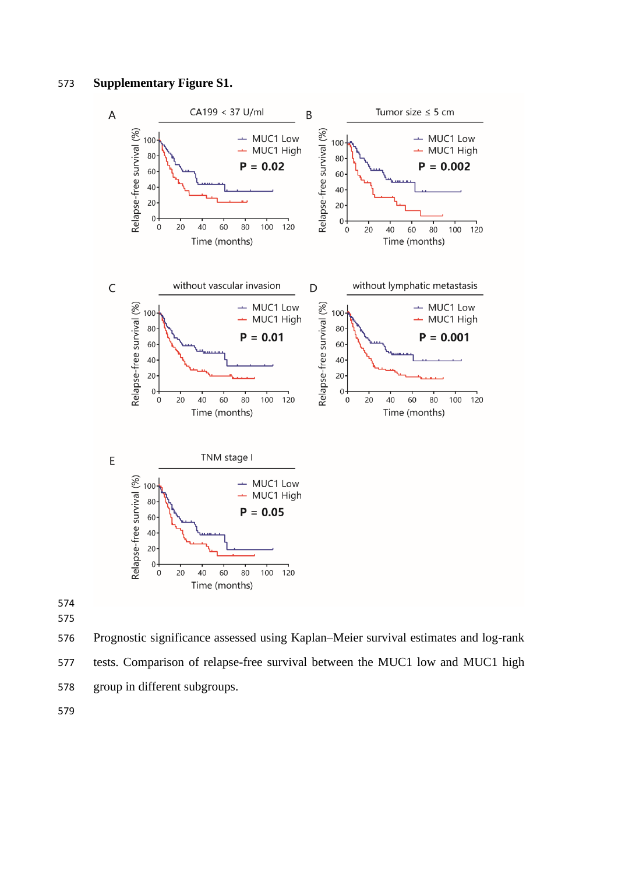## **Supplementary Figure S1.**



 

 Prognostic significance assessed using Kaplan–Meier survival estimates and log-rank tests. Comparison of relapse-free survival between the MUC1 low and MUC1 high group in different subgroups.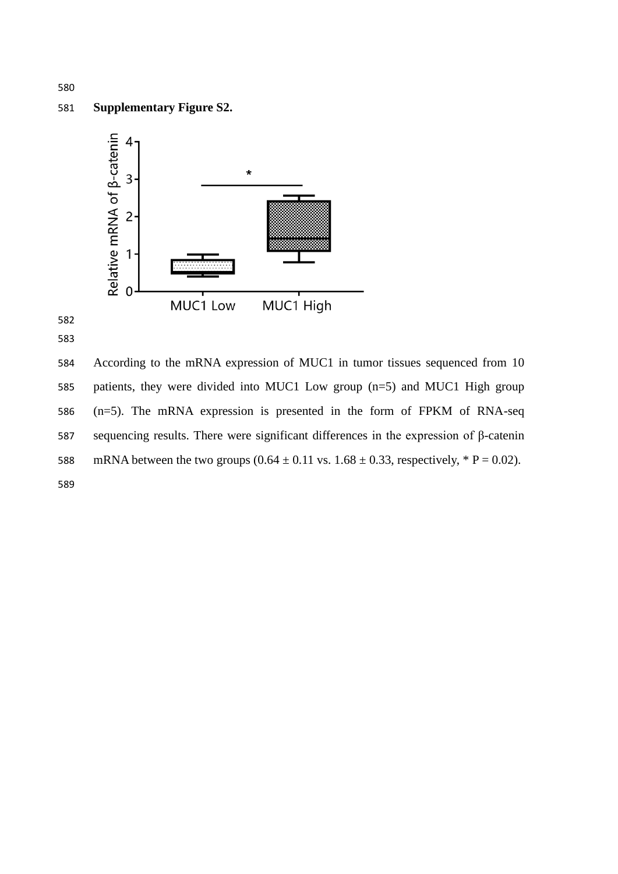## **Supplementary Figure S2.**



 According to the mRNA expression of MUC1 in tumor tissues sequenced from 10 patients, they were divided into MUC1 Low group (n=5) and MUC1 High group (n=5). The mRNA expression is presented in the form of FPKM of RNA-seq sequencing results. There were significant differences in the expression of β-catenin 588 mRNA between the two groups  $(0.64 \pm 0.11 \text{ vs. } 1.68 \pm 0.33, \text{ respectively, } * \text{ P} = 0.02)$ .